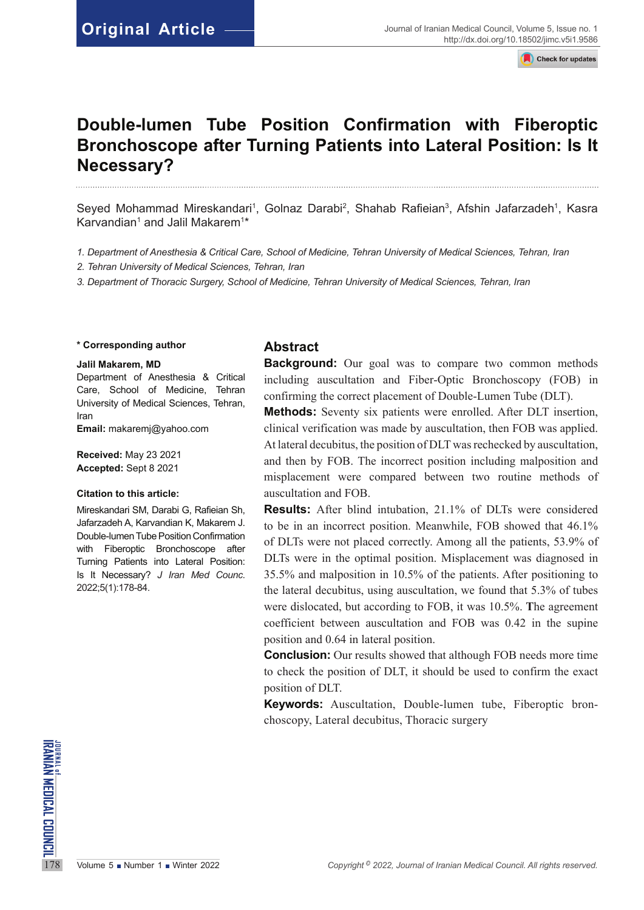Check for updates

# **Double-lumen Tube Position Confirmation with Fiberoptic Bronchoscope after Turning Patients into Lateral Position: Is It Necessary?**

Seyed Mohammad Mireskandari<sup>1</sup>, Golnaz Darabi<sup>2</sup>, Shahab Rafieian<sup>3</sup>, Afshin Jafarzadeh<sup>1</sup>, Kasra Karvandian $^{\rm 1}$  and Jalil Makarem $^{\rm 1\star}$ 

- *1. Department of Anesthesia & Critical Care, School of Medicine, Tehran University of Medical Sciences, Tehran, Iran*
- *2. Tehran University of Medical Sciences, Tehran, Iran*
- *3. Department of Thoracic Surgery, School of Medicine, Tehran University of Medical Sciences, Tehran, Iran*

#### **\* Corresponding author**

#### **Jalil Makarem, MD**

Department of Anesthesia & Critical Care, School of Medicine, Tehran University of Medical Sciences, Tehran, Iran

**Email:** [makaremj@yahoo.com](mailto:makaremj@yahoo.com)

**Received:** May 23 2021 **Accepted:** Sept 8 2021

#### **Citation to this article:**

Mireskandari SM, Darabi G, Rafieian Sh, Jafarzadeh A, Karvandian K, Makarem J. Double-lumen Tube Position Confirmation with Fiberoptic Bronchoscope after Turning Patients into Lateral Position: Is It Necessary? *J Iran Med Counc*. 2022;5(1):178-84.

## **Abstract**

**Background:** Our goal was to compare two common methods including auscultation and Fiber-Optic Bronchoscopy (FOB) in confirming the correct placement of Double-Lumen Tube (DLT).

**Methods:** Seventy six patients were enrolled. After DLT insertion, clinical verification was made by auscultation, then FOB was applied. At lateral decubitus, the position of DLT was rechecked by auscultation, and then by FOB. The incorrect position including malposition and misplacement were compared between two routine methods of auscultation and FOB.

**Results:** After blind intubation, 21.1% of DLTs were considered to be in an incorrect position. Meanwhile, FOB showed that 46.1% of DLTs were not placed correctly. Among all the patients, 53.9% of DLTs were in the optimal position. Misplacement was diagnosed in 35.5% and malposition in 10.5% of the patients. After positioning to the lateral decubitus, using auscultation, we found that 5.3% of tubes were dislocated, but according to FOB, it was 10.5%. **T**he agreement coefficient between auscultation and FOB was 0.42 in the supine position and 0.64 in lateral position.

**Conclusion:** Our results showed that although FOB needs more time to check the position of DLT, it should be used to confirm the exact position of DLT.

**Keywords:** Auscultation, Double-lumen tube, Fiberoptic bronchoscopy, Lateral decubitus, Thoracic surgery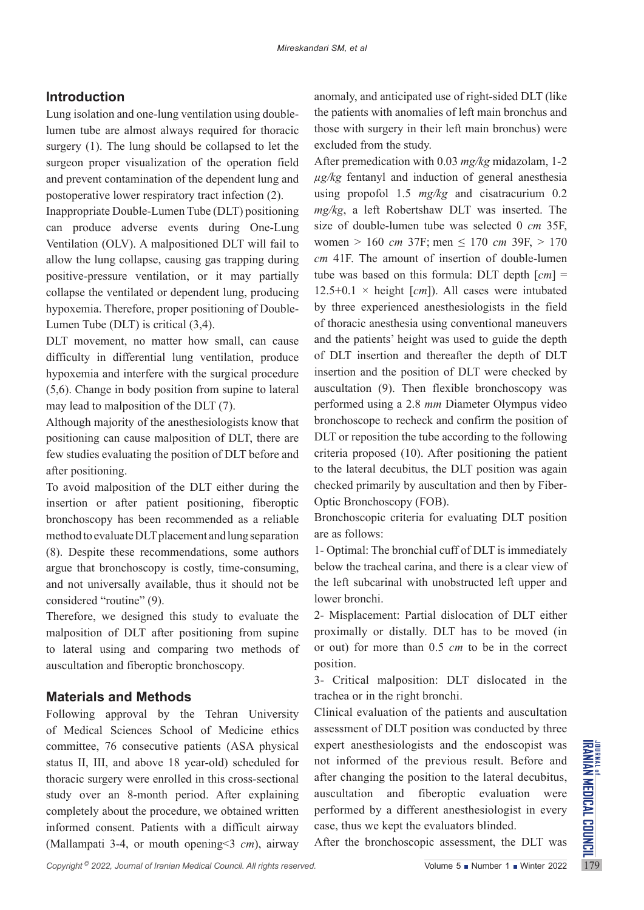# **Introduction**

Lung isolation and one-lung ventilation using doublelumen tube are almost always required for thoracic surgery (1). The lung should be collapsed to let the surgeon proper visualization of the operation field and prevent contamination of the dependent lung and postoperative lower respiratory tract infection (2).

Inappropriate Double-Lumen Tube (DLT) positioning can produce adverse events during One-Lung Ventilation (OLV). A malpositioned DLT will fail to allow the lung collapse, causing gas trapping during positive-pressure ventilation, or it may partially collapse the ventilated or dependent lung, producing hypoxemia. Therefore, proper positioning of Double-Lumen Tube (DLT) is critical (3,4).

DLT movement, no matter how small, can cause difficulty in differential lung ventilation, produce hypoxemia and interfere with the surgical procedure (5,6). Change in body position from supine to lateral may lead to malposition of the DLT (7).

Although majority of the anesthesiologists know that positioning can cause malposition of DLT, there are few studies evaluating the position of DLT before and after positioning.

To avoid malposition of the DLT either during the insertion or after patient positioning, fiberoptic bronchoscopy has been recommended as a reliable method to evaluate DLT placement and lung separation (8). Despite these recommendations, some authors argue that bronchoscopy is costly, time-consuming, and not universally available, thus it should not be considered "routine" (9).

Therefore, we designed this study to evaluate the malposition of DLT after positioning from supine to lateral using and comparing two methods of auscultation and fiberoptic bronchoscopy.

# **Materials and Methods**

committee, 76 consecutive patients (ASA physical expert anesthesiologists and the endoscopist was status II, III, and above 18 year-old) scheduled for not informed of the previous result. Before and theracic surgery were Following approval by the Tehran University of Medical Sciences School of Medicine ethics committee, 76 consecutive patients (ASA physical status II, III, and above 18 year-old) scheduled for thoracic surgery were enrolled in this cross-sectional study over an 8-month period. After explaining completely about the procedure, we obtained written informed consent. Patients with a difficult airway (Mallampati 3-4, or mouth opening<3 *cm*), airway

anomaly, and anticipated use of right-sided DLT (like the patients with anomalies of left main bronchus and those with surgery in their left main bronchus) were excluded from the study.

After premedication with 0.03 *mg/kg* midazolam, 1-2 *µg/kg* fentanyl and induction of general anesthesia using propofol 1.5 *mg/kg* and cisatracurium 0.2 *mg/kg*, a left Robertshaw DLT was inserted. The size of double-lumen tube was selected 0 *cm* 35F, women > 160 *cm* 37F; men ≤ 170 *cm* 39F, > 170 *cm* 41F. The amount of insertion of double-lumen tube was based on this formula: DLT depth [*cm*] =  $12.5+0.1 \times$  height [*cm*]). All cases were intubated by three experienced anesthesiologists in the field of thoracic anesthesia using conventional maneuvers and the patients' height was used to guide the depth of DLT insertion and thereafter the depth of DLT insertion and the position of DLT were checked by auscultation (9). Then flexible bronchoscopy was performed using a 2.8 *mm* Diameter Olympus video bronchoscope to recheck and confirm the position of DLT or reposition the tube according to the following criteria proposed (10). After positioning the patient to the lateral decubitus, the DLT position was again checked primarily by auscultation and then by Fiber-Optic Bronchoscopy (FOB).

Bronchoscopic criteria for evaluating DLT position are as follows:

1- Optimal: The bronchial cuff of DLT is immediately below the tracheal carina, and there is a clear view of the left subcarinal with unobstructed left upper and lower bronchi.

2- Misplacement: Partial dislocation of DLT either proximally or distally. DLT has to be moved (in or out) for more than 0.5 *cm* to be in the correct position.

3- Critical malposition: DLT dislocated in the trachea or in the right bronchi.

Clinical evaluation of the patients and auscultation assessment of DLT position was conducted by three expert anesthesiologists and the endoscopist was not informed of the previous result. Before and after changing the position to the lateral decubitus, auscultation and fiberoptic evaluation were performed by a different anesthesiologist in every case, thus we kept the evaluators blinded.

After the bronchoscopic assessment, the DLT was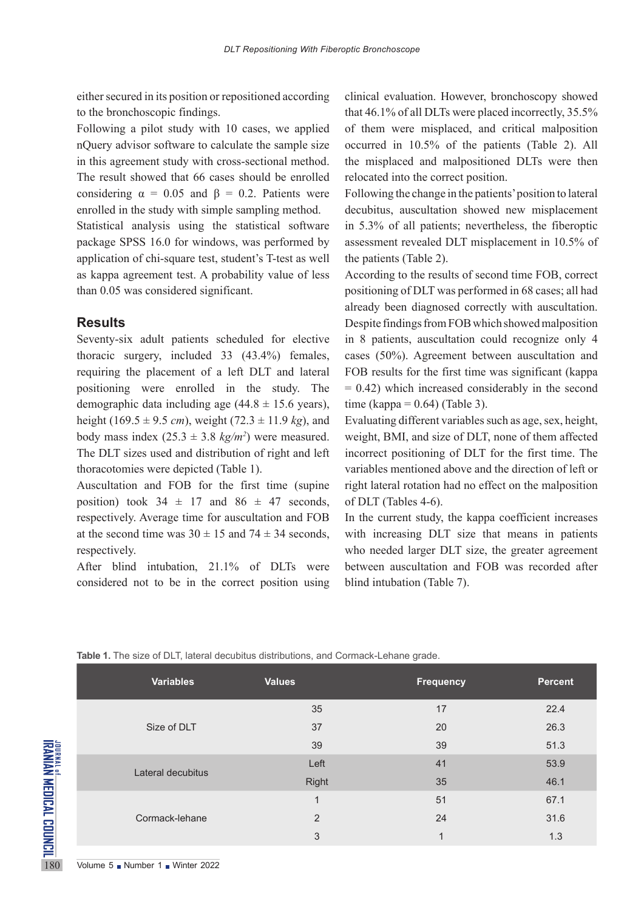either secured in its position or repositioned according to the bronchoscopic findings.

Following a pilot study with 10 cases, we applied nQuery advisor software to calculate the sample size in this agreement study with cross-sectional method. The result showed that 66 cases should be enrolled considering  $\alpha = 0.05$  and  $\beta = 0.2$ . Patients were enrolled in the study with simple sampling method.

Statistical analysis using the statistical software package SPSS 16.0 for windows, was performed by application of chi-square test, student's T-test as well as kappa agreement test. A probability value of less than 0.05 was considered significant.

## **Results**

Seventy-six adult patients scheduled for elective thoracic surgery, included 33 (43.4%) females, requiring the placement of a left DLT and lateral positioning were enrolled in the study. The demographic data including age  $(44.8 \pm 15.6 \text{ years})$ , height (169.5  $\pm$  9.5 *cm*), weight (72.3  $\pm$  11.9 *kg*), and body mass index  $(25.3 \pm 3.8 \text{ kg/m}^2)$  were measured. The DLT sizes used and distribution of right and left thoracotomies were depicted (Table 1).

Auscultation and FOB for the first time (supine position) took  $34 \pm 17$  and  $86 \pm 47$  seconds, respectively. Average time for auscultation and FOB at the second time was  $30 \pm 15$  and  $74 \pm 34$  seconds, respectively.

After blind intubation, 21.1% of DLTs were considered not to be in the correct position using

clinical evaluation. However, bronchoscopy showed that 46.1% of all DLTs were placed incorrectly, 35.5% of them were misplaced, and critical malposition occurred in 10.5% of the patients (Table 2). All the misplaced and malpositioned DLTs were then relocated into the correct position.

Following the change in the patients' position to lateral decubitus, auscultation showed new misplacement in 5.3% of all patients; nevertheless, the fiberoptic assessment revealed DLT misplacement in 10.5% of the patients (Table 2).

According to the results of second time FOB, correct positioning of DLT was performed in 68 cases; all had already been diagnosed correctly with auscultation. Despite findings from FOB which showed malposition in 8 patients, auscultation could recognize only 4 cases (50%). Agreement between auscultation and FOB results for the first time was significant (kappa  $= 0.42$ ) which increased considerably in the second time (kappa =  $0.64$ ) (Table 3).

Evaluating different variables such as age, sex, height, weight, BMI, and size of DLT, none of them affected incorrect positioning of DLT for the first time. The variables mentioned above and the direction of left or right lateral rotation had no effect on the malposition of DLT (Tables 4-6).

In the current study, the kappa coefficient increases with increasing DLT size that means in patients who needed larger DLT size, the greater agreement between auscultation and FOB was recorded after blind intubation (Table 7).

|                                                  | <b>Variables</b>              | <b>Values</b> | <b>Frequency</b>        | <b>Percent</b> |
|--------------------------------------------------|-------------------------------|---------------|-------------------------|----------------|
|                                                  |                               | 35            | 17                      | 22.4           |
|                                                  | Size of DLT                   | 37            | 20                      | 26.3           |
|                                                  |                               | 39            | 39                      | 51.3           |
|                                                  | Lateral decubitus             | Left          | 41                      | 53.9           |
|                                                  |                               | Right         | 35                      | 46.1           |
| <sup>JOURNAL of</sup><br>IRANIAN MEDICAL COUNCIL |                               | 1             | 51                      | 67.1           |
|                                                  | Cormack-lehane                | 2             | 24                      | 31.6           |
|                                                  |                               | 3             | $\overline{\mathbf{A}}$ | 1.3            |
| 180                                              | Volume 5 Number 1 Winter 2022 |               |                         |                |

**Table 1.** The size of DLT, lateral decubitus distributions, and Cormack-Lehane grade.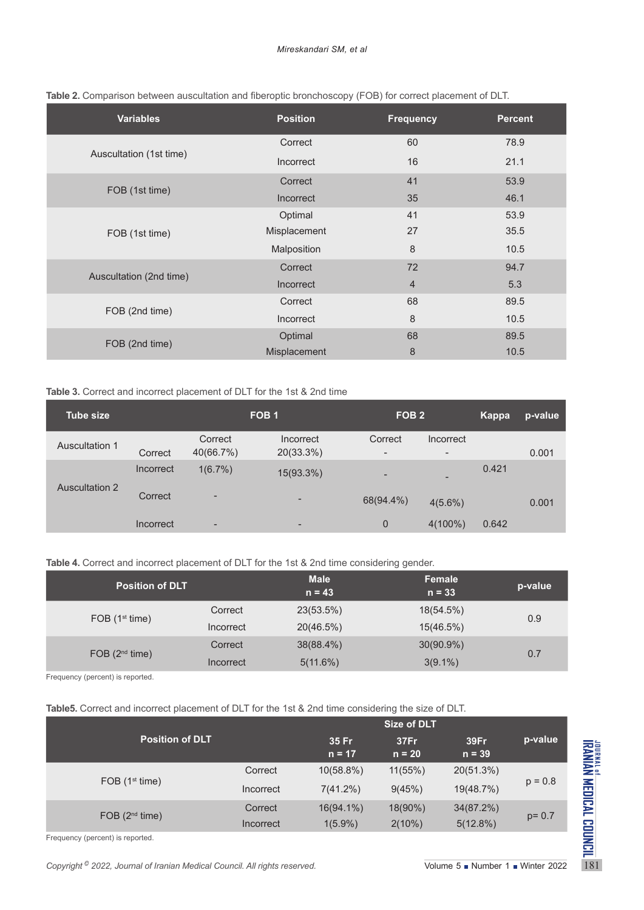| <b>Variables</b>        | <b>Position</b> | <b>Frequency</b> | <b>Percent</b> |
|-------------------------|-----------------|------------------|----------------|
|                         | Correct         | 60               | 78.9           |
| Auscultation (1st time) | Incorrect       | 16               | 21.1           |
|                         | Correct         | 41               | 53.9           |
| FOB (1st time)          | Incorrect       | 35               | 46.1           |
|                         | Optimal         | 41               | 53.9           |
| FOB (1st time)          | Misplacement    | 27               | 35.5           |
|                         | Malposition     | 8                | 10.5           |
|                         | Correct         | 72               | 94.7           |
| Auscultation (2nd time) | Incorrect       | $\overline{4}$   | 5.3            |
|                         | Correct         | 68               | 89.5           |
| FOB (2nd time)          | Incorrect       | 8                | 10.5           |
|                         | Optimal         | 68               | 89.5           |
| FOB (2nd time)          | Misplacement    | 8                | 10.5           |

| Table 2. Comparison between auscultation and fiberoptic bronchoscopy (FOB) for correct placement of DLT. |  |  |  |
|----------------------------------------------------------------------------------------------------------|--|--|--|
|                                                                                                          |  |  |  |

#### **Table 3.** Correct and incorrect placement of DLT for the 1st & 2nd time

| Tube size             |           | FOB <sub>1</sub>         |                          |                          | FOB <sub>2</sub>         |       | p-value |
|-----------------------|-----------|--------------------------|--------------------------|--------------------------|--------------------------|-------|---------|
| Auscultation 1        |           | Correct                  | Incorrect                | Correct                  | Incorrect                |       |         |
|                       | Correct   | 40(66.7%)                | 20(33.3%)                | $\overline{\phantom{a}}$ | $\overline{\phantom{a}}$ |       | 0.001   |
|                       | Incorrect | 1(6.7%)                  | 15(93.3%)                | $\overline{\phantom{a}}$ | $\overline{\phantom{0}}$ | 0.421 |         |
| <b>Auscultation 2</b> | Correct   | $\overline{\phantom{a}}$ | ۰                        | 68(94.4%)                | $4(5.6\%)$               |       | 0.001   |
|                       | Incorrect | ۰                        | $\overline{\phantom{a}}$ | $\overline{0}$           | $4(100\%)$               | 0.642 |         |

**Table 4.** Correct and incorrect placement of DLT for the 1st & 2nd time considering gender.

| <b>Position of DLT</b> |           | <b>Male</b><br>$n = 43$ | <b>Female</b><br>$n = 33$ | p-value |
|------------------------|-----------|-------------------------|---------------------------|---------|
| FOB $(1st time)$       | Correct   | 23(53.5%)               | 18(54.5%)                 | 0.9     |
|                        | Incorrect | 20(46.5%)               | 15(46.5%)                 |         |
|                        | Correct   | 38(88.4%)               | $30(90.9\%)$              | 0.7     |
| FOB $(2^{nd}$ time)    | Incorrect | 5(11.6%)                | $3(9.1\%)$                |         |

Frequency (percent) is reported.

**Table5.** Correct and incorrect placement of DLT for the 1st & 2nd time considering the size of DLT.

|                                                                                       | Size of DLT |                                                   |                  |                  |           |
|---------------------------------------------------------------------------------------|-------------|---------------------------------------------------|------------------|------------------|-----------|
| <b>Position of DLT</b>                                                                |             | 35 Fr<br>$n = 17$                                 | 37Fr<br>$n = 20$ | 39Fr<br>$n = 39$ | p-value   |
|                                                                                       | Correct     | $10(58.8\%)$                                      | 11(55%)          | 20(51.3%)        | $p = 0.8$ |
| FOB $(1st time)$                                                                      | Incorrect   | 7(41.2%)                                          | 9(45%)           | 19(48.7%)        |           |
| FOB $(2nd time)$                                                                      | Correct     | $16(94.1\%)$                                      | 18(90%)          | 34(87.2%)        |           |
|                                                                                       | Incorrect   | $1(5.9\%)$                                        | $2(10\%)$        | 5(12.8%)         | $p = 0.7$ |
| Frequency (percent) is reported.                                                      |             |                                                   |                  |                  |           |
| Copyright <sup>©</sup> 2022, Journal of Iranian Medical Council. All rights reserved. |             | Volume $5 \bullet$ Number 1 $\bullet$ Winter 2022 |                  |                  |           |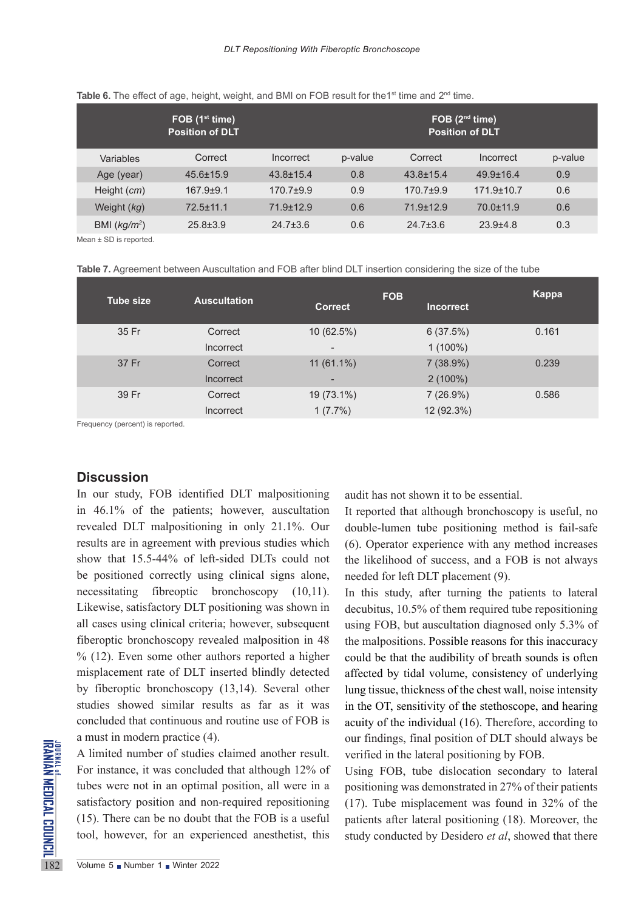|                | FOB $(1st time)$<br><b>Position of DLT</b> |                 |         |                 | FOB $(2nd time)$<br><b>Position of DLT</b> |         |
|----------------|--------------------------------------------|-----------------|---------|-----------------|--------------------------------------------|---------|
| Variables      | Correct                                    | Incorrect       | p-value | Correct         | Incorrect                                  | p-value |
| Age (year)     | $45.6 \pm 15.9$                            | $43.8 \pm 15.4$ | 0.8     | $43.8 \pm 15.4$ | $49.9 \pm 16.4$                            | 0.9     |
| Height $(cm)$  | $167.9 + 9.1$                              | $170.7 + 9.9$   | 0.9     | $170.7 + 9.9$   | $171.9 \pm 10.7$                           | 0.6     |
| Weight (kg)    | $72.5 + 11.1$                              | $71.9 + 12.9$   | 0.6     | $71.9 + 12.9$   | $70.0 + 11.9$                              | 0.6     |
| BMI $(kq/m^2)$ | $25.8 \pm 3.9$                             | $24.7 \pm 3.6$  | 0.6     | $24.7 \pm 3.6$  | $23.9 + 4.8$                               | 0.3     |

#### **Table 6.** The effect of age, height, weight, and BMI on FOB result for the1<sup>st</sup> time and 2<sup>nd</sup> time.

Mean ± SD is reported.

|  |  |  | <b>Table 7.</b> Agreement between Auscultation and FOB after blind DLT insertion considering the size of the tube |
|--|--|--|-------------------------------------------------------------------------------------------------------------------|
|--|--|--|-------------------------------------------------------------------------------------------------------------------|

| <b>Tube size</b> | <b>Auscultation</b>         | <b>Correct</b>                           | <b>FOB</b><br><b>Incorrect</b> | Kappa |
|------------------|-----------------------------|------------------------------------------|--------------------------------|-------|
| 35 Fr            | Correct<br>Incorrect        | 10 (62.5%)<br>$\overline{\phantom{a}}$   | 6(37.5%)<br>$1(100\%)$         | 0.161 |
| 37 Fr            | Correct<br><b>Incorrect</b> | $11(61.1\%)$<br>$\overline{\phantom{0}}$ | 7(38.9%)<br>$2(100\%)$         | 0.239 |
| 39 Fr            | Correct<br><b>Incorrect</b> | 19 (73.1%)<br>$1(7.7\%)$                 | 7(26.9%)<br>12 (92.3%)         | 0.586 |

Frequency (percent) is reported.

#### **Discussion**

In our study, FOB identified DLT malpositioning in 46.1% of the patients; however, auscultation revealed DLT malpositioning in only 21.1%. Our results are in agreement with previous studies which show that 15.5-44% of left-sided DLTs could not be positioned correctly using clinical signs alone, necessitating fibreoptic bronchoscopy (10,11). Likewise, satisfactory DLT positioning was shown in all cases using clinical criteria; however, subsequent fiberoptic bronchoscopy revealed malposition in 48  $% (12)$ . Even some other authors reported a higher misplacement rate of DLT inserted blindly detected by fiberoptic bronchoscopy (13,14). Several other studies showed similar results as far as it was concluded that continuous and routine use of FOB is a must in modern practice (4).

THE TALL THE TALL THE TALL THE TALL THE TALL THE TALL THE TALL THAT THE TALL THAT THE TALL THAT THE CALL TO THE CALL THE CALL TO THE TALL THE TABLE TABLE THAT THE TABLE TABLE TABLE TABLE TABLE TABLE TABLE TABLE TABLE TABLE A limited number of studies claimed another result. For instance, it was concluded that although 12% of tubes were not in an optimal position, all were in a satisfactory position and non-required repositioning (15). There can be no doubt that the FOB is a useful tool, however, for an experienced anesthetist, this

audit has not shown it to be essential.

It reported that although bronchoscopy is useful, no double-lumen tube positioning method is fail-safe (6). Operator experience with any method increases the likelihood of success, and a FOB is not always needed for left DLT placement (9).

In this study, after turning the patients to lateral decubitus, 10.5% of them required tube repositioning using FOB, but auscultation diagnosed only 5.3% of the malpositions. Possible reasons for this inaccuracy could be that the audibility of breath sounds is often affected by tidal volume, consistency of underlying lung tissue, thickness of the chest wall, noise intensity in the OT, sensitivity of the stethoscope, and hearing acuity of the individual (16). Therefore, according to our findings, final position of DLT should always be verified in the lateral positioning by FOB.

Using FOB, tube dislocation secondary to lateral positioning was demonstrated in 27% of their patients (17). Tube misplacement was found in 32% of the patients after lateral positioning (18). Moreover, the study conducted by Desidero *et al*, showed that there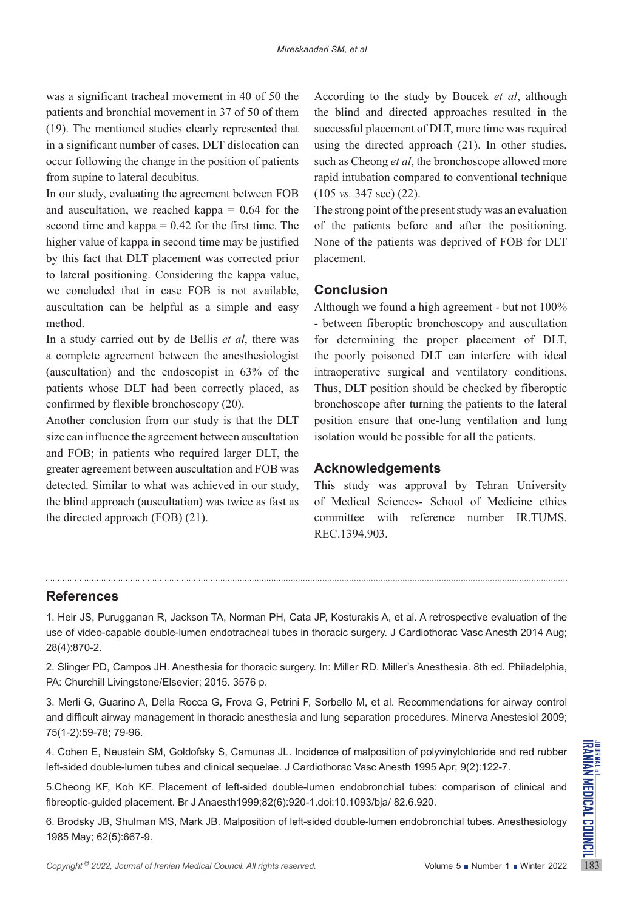was a significant tracheal movement in 40 of 50 the patients and bronchial movement in 37 of 50 of them (19). The mentioned studies clearly represented that in a significant number of cases, DLT dislocation can occur following the change in the position of patients from supine to lateral decubitus.

In our study, evaluating the agreement between FOB and auscultation, we reached kappa  $= 0.64$  for the second time and kappa  $= 0.42$  for the first time. The higher value of kappa in second time may be justified by this fact that DLT placement was corrected prior to lateral positioning. Considering the kappa value, we concluded that in case FOB is not available, auscultation can be helpful as a simple and easy method.

In a study carried out by de Bellis *et al*, there was a complete agreement between the anesthesiologist (auscultation) and the endoscopist in 63% of the patients whose DLT had been correctly placed, as confirmed by flexible bronchoscopy (20).

Another conclusion from our study is that the DLT size can influence the agreement between auscultation and FOB; in patients who required larger DLT, the greater agreement between auscultation and FOB was detected. Similar to what was achieved in our study, the blind approach (auscultation) was twice as fast as the directed approach (FOB) (21).

According to the study by Boucek *et al*, although the blind and directed approaches resulted in the successful placement of DLT, more time was required using the directed approach (21). In other studies, such as Cheong *et al*, the bronchoscope allowed more rapid intubation compared to conventional technique (105 *vs.* 347 sec) (22).

The strong point of the present study was an evaluation of the patients before and after the positioning. None of the patients was deprived of FOB for DLT placement.

## **Conclusion**

Although we found a high agreement - but not 100% - between fiberoptic bronchoscopy and auscultation for determining the proper placement of DLT, the poorly poisoned DLT can interfere with ideal intraoperative surgical and ventilatory conditions. Thus, DLT position should be checked by fiberoptic bronchoscope after turning the patients to the lateral position ensure that one-lung ventilation and lung isolation would be possible for all the patients.

## **Acknowledgements**

This study was approval by Tehran University of Medical Sciences- School of Medicine ethics committee with reference number IR.TUMS. REC.1394.903.

## **References**

1. Heir JS, Purugganan R, Jackson TA, Norman PH, Cata JP, Kosturakis A, et al. A retrospective evaluation of the use of video-capable double-lumen endotracheal tubes in thoracic surgery. J Cardiothorac Vasc Anesth 2014 Aug; 28(4):870-2.

2. Slinger PD, Campos JH. Anesthesia for thoracic surgery. In: Miller RD. Miller's Anesthesia. 8th ed. Philadelphia, PA: Churchill Livingstone/Elsevier; 2015. 3576 p.

3. Merli G, Guarino A, Della Rocca G, Frova G, Petrini F, Sorbello M, et al. Recommendations for airway control and difficult airway management in thoracic anesthesia and lung separation procedures. Minerva Anestesiol 2009; 75(1-2):59-78; 79-96.

4. Cohen E, Neustein SM, Goldofsky S, Camunas JL. Incidence of malposition of polyvinylchloride and red rubber left-sided double-lumen tubes and clinical sequelae. J Cardiothorac Vasc Anesth 1995 Apr; 9(2):122-7.

5.Cheong KF, Koh KF. Placement of left-sided double-lumen endobronchial tubes: comparison of clinical and fibreoptic-guided placement. Br J Anaesth1999;82(6):920-1.doi:10.1093/bja/ 82.6.920.

6. Brodsky JB, Shulman MS, Mark JB. Malposition of left-sided double-lumen endobronchial tubes. Anesthesiology 1985 May; 62(5):667-9.